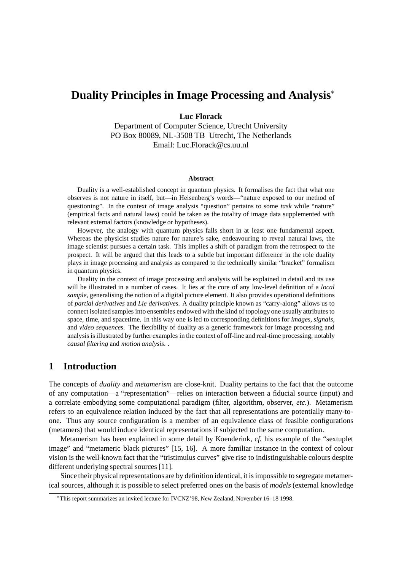# **Duality Principles in Image Processing and Analysis**

### **Luc Florack**

Department of Computer Science, Utrecht University PO Box 80089, NL-3508 TB Utrecht, The Netherlands Email: Luc.Florack@cs.uu.nl

#### **Abstract**

Duality is a well-established concept in quantum physics. It formalises the fact that what one observes is not nature in itself, but—in Heisenberg's words—"nature exposed to our method of questioning". In the context of image analysis "question" pertains to some *task* while "nature" (empirical facts and natural laws) could be taken as the totality of image data supplemented with relevant external factors (knowledge or hypotheses).

However, the analogy with quantum physics falls short in at least one fundamental aspect. Whereas the physicist studies nature for nature's sake, endeavouring to reveal natural laws, the image scientist pursues a certain task. This implies a shift of paradigm from the retrospect to the prospect. It will be argued that this leads to a subtle but important difference in the role duality plays in image processing and analysis as compared to the technically similar "bracket" formalism in quantum physics.

Duality in the context of image processing and analysis will be explained in detail and its use will be illustrated in a number of cases. It lies at the core of any low-level definition of a *local sample*, generalising the notion of a digital picture element. It also provides operational definitions of *partial derivatives* and *Lie derivatives*. A duality principle known as "carry-along" allows us to connect isolated samples into ensembles endowed with the kind of topology one usually attributes to space, time, and spacetime. In this way one is led to corresponding definitions for *images*, *signals*, and *video sequences*. The flexibility of duality as a generic framework for image processing and analysis is illustrated by further examples in the context of off-line and real-time processing, notably *causal filtering* and *motion analysis*. .

## **1 Introduction**

The concepts of *duality* and *metamerism* are close-knit. Duality pertains to the fact that the outcome of any computation—a "representation"—relies on interaction between a fiducial source (input) and a correlate embodying some computational paradigm (filter, algorithm, observer, *etc.*). Metamerism refers to an equivalence relation induced by the fact that all representations are potentially many-toone. Thus any source configuration is a member of an equivalence class of feasible configurations (metamers) that would induce identical representations if subjected to the same computation.

Metamerism has been explained in some detail by Koenderink, *cf.* his example of the "sextuplet image" and "metameric black pictures" [15, 16]. A more familiar instance in the context of colour vision is the well-known fact that the "tristimulus curves" give rise to indistinguishable colours despite different underlying spectral sources [11].

Since their physical representations are by definition identical, it is impossible to segregate metamerical sources, although it is possible to select preferred ones on the basis of *models* (external knowledge

This report summarizes an invited lecture for IVCNZ'98, New Zealand, November 16–18 1998.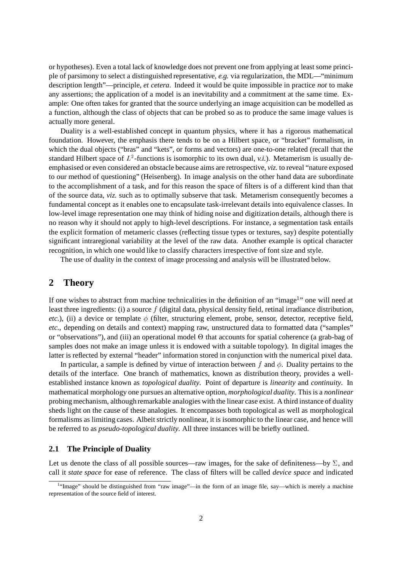or hypotheses). Even a total lack of knowledge does not prevent one from applying at least some principle of parsimony to select a distinguished representative, *e.g.* via regularization, the MDL—"minimum description length"—principle, *et cetera*. Indeed it would be quite impossible in practice *not* to make any assertions; the application of a model is an inevitability and a commitment at the same time. Example: One often takes for granted that the source underlying an image acquisition can be modelled as a function, although the class of objects that can be probed so as to produce the same image values is actually more general.

Duality is a well-established concept in quantum physics, where it has a rigorous mathematical foundation. However, the emphasis there tends to be on a Hilbert space, or "bracket" formalism, in which the dual objects ("bras" and "kets", or forms and vectors) are one-to-one related (recall that the standard Hilbert space of  $L^2$ -functions is isomorphic to its own dual, *v.i.*). Metamerism is usually deemphasised or even considered an obstacle because aims are retrospective, *viz.* to reveal "nature exposed to our method of questioning" (Heisenberg). In image analysis on the other hand data are subordinate to the accomplishment of a task, and for this reason the space of filters is of a different kind than that of the source data, *viz.* such as to optimally subserve that task. Metamerism consequently becomes a fundamental concept as it enables one to encapsulate task-irrelevant details into equivalence classes. In low-level image representation one may think of hiding noise and digitization details, although there is no reason why it should not apply to high-level descriptions. For instance, a segmentation task entails the explicit formation of metameric classes (reflecting tissue types or textures, say) despite potentially significant intraregional variability at the level of the raw data. Another example is optical character recognition, in which one would like to classify characters irrespective of font size and style.

The use of duality in the context of image processing and analysis will be illustrated below.

# **2 Theory**

If one wishes to abstract from machine technicalities in the definition of an "image<sup>1</sup>" one will need at least three ingredients: (i) a source f (digital data, physical density field, retinal irradiance distribution, *etc.*), (ii) a device or template  $\phi$  (filter, structuring element, probe, sensor, detector, receptive field, *etc.*, depending on details and context) mapping raw, unstructured data to formatted data ("samples" or "observations"), and (iii) an operational model  $\Theta$  that accounts for spatial coherence (a grab-bag of samples does not make an image unless it is endowed with a suitable topology). In digital images the latter is reflected by external "header" information stored in conjunction with the numerical pixel data.

In particular, a sample is defined by virtue of interaction between f and  $\phi$ . Duality pertains to the details of the interface. One branch of mathematics, known as distribution theory, provides a wellestablished instance known as *topological duality*. Point of departure is *linearity* and *continuity*. In mathematical morphology one pursues an alternative option, *morphological duality*. This is a *nonlinear* probing mechanism, although remarkable analogies with the linear case exist. A third instance of duality sheds light on the cause of these analogies. It encompasses both topological as well as morphological formalisms as limiting cases. Albeit strictly nonlinear, it is isomorphic to the linear case, and hence will be referred to as *pseudo-topological duality*. All three instances will be briefly outlined.

## **2.1 The Principle of Duality**

Let us denote the class of all possible sources—raw images, for the sake of definiteness—by  $\Sigma$ , and call it *state space* for ease of reference. The class of filters will be called *device space* and indicated

<sup>&</sup>lt;sup>1</sup>"Image" should be distinguished from "raw image"—in the form of an image file, say—which is merely a machine representation of the source field of interest.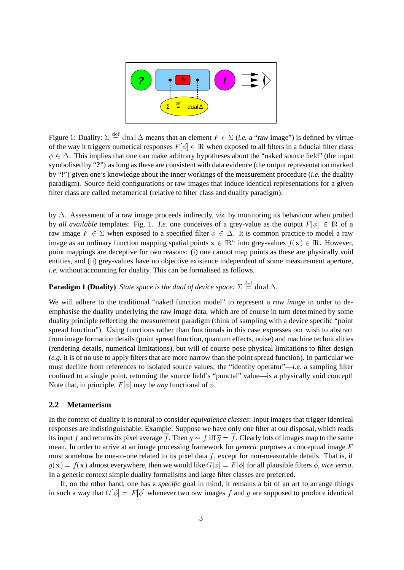

Figure 1: Duality:  $\Sigma = \text{dual } \Delta$  means that an element  $F \in \Sigma$  (*i.e.* a "raw image") is defined by virtue of the way it triggers numerical responses  $F[\phi] \in \mathbb{R}$  when exposed to all filters in a fiducial filter class  $\phi \in \Delta$ . This implies that one can make arbitrary hypotheses about the "naked source field" (the input symbolised by "**?**") as long as these are consistent with data evidence (the output representation marked by "**!**") given one's knowledge about the inner workings of the measurement procedure (*i.e.* the duality paradigm). Source field configurations or raw images that induce identical representations for a given filter class are called metamerical (relative to filter class and duality paradigm).

by  $\Delta$ . Assessment of a raw image proceeds indirectly, *viz*. by monitoring its behaviour when probed by *all available* templates: Fig. 1. *I.e.* one conceives of a grey-value as the output  $F[\phi] \in \mathbb{R}$  of a raw image  $F \in \Sigma$  when exposed to a specified filter  $\phi \in \Delta$ . It is common practice to model a raw image as an ordinary function mapping spatial points  $x \in \mathbb{R}^n$  into grey-values  $f(x) \in \mathbb{R}$ . However, point mappings are deceptive for two reasons: (i) one cannot map points as these are physically void entities, and (ii) grey-values have no objective existence independent of some measurement aperture, *i.e.* without accounting for duality. This can be formalised as follows.

## **Paradigm 1 (Duality)** State space is the dual of device space:  $\Sigma \stackrel{\text{def}}{=} \text{dual } \Delta$ .

We will adhere to the traditional "naked function model" to represent a *raw image* in order to deemphasise the duality underlying the raw image data, which are of course in turn determined by some duality principle reflecting the measurement paradigm (think of sampling with a device specific "point spread function"). Using functions rather than functionals in this case expresses our wish to abstract from image formation details (point spread function, quantum effects, noise) and machine technicalities (rendering details, numerical limitations), but will of course pose physical limitations to filter design (*e.g.* it is of no use to apply filters that are more narrow than the point spread function). In particular we must decline from references to isolated source values; the "identity operator"—*i.e.* a sampling filter confined to a single point, returning the source field's "punctal" value—is a physically void concept! Note that, in principle,  $F[\phi]$  may be *any* functional of  $\phi$ .

## **2.2 Metamerism**

In the context of duality it is natural to consider *equivalence classes*: Input images that trigger identical responses are indistinguishable. Example: Suppose we have only one filter at our disposal, which reads its input f and returns its pixel average  $\overline{f}$ . Then  $g \sim f$  iff  $\overline{g} = \overline{f}$ . Clearly lots of images map to the same mean. In order to arrive at an image processing framework for *generic* purposes a conceptual image <sup>F</sup> must somehow be one-to-one related to its pixel data  $f$ , except for non-measurable details. That is, if  $g(\mathbf{x}) = f(\mathbf{x})$  almost everywhere, then we would like  $G[\phi] = F[\phi]$  for all plausible filters  $\phi$ , *vice versa*. In a generic context simple duality formalisms and large filter classes are preferred.

If, on the other hand, one has a *specific* goal in mind, it remains a bit of an art to arrange things in such a way that  $G[\phi] = F[\phi]$  whenever two raw images f and g are supposed to produce identical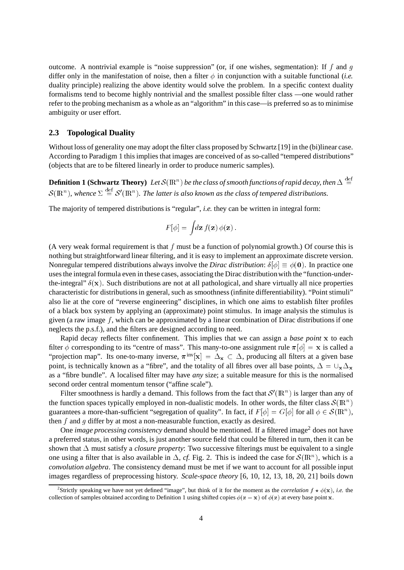outcome. A nontrivial example is "noise suppression" (or, if one wishes, segmentation): If f and q differ only in the manifestation of noise, then a filter  $\phi$  in conjunction with a suitable functional (*i.e.* duality principle) realizing the above identity would solve the problem. In a specific context duality formalisms tend to become highly nontrivial and the smallest possible filter class —one would rather refer to the probing mechanism as a whole as an "algorithm" in this case—is preferred so as to minimise ambiguity or user effort.

#### **2.3 Topological Duality**

Without loss of generality one may adopt the filter class proposed by Schwartz [19] in the (bi)linear case. According to Paradigm 1 this implies that images are conceived of as so-called "tempered distributions" (objects that are to be filtered linearly in order to produce numeric samples).

**Definition 1 (Schwartz Theory)** Let  $\mathcal{S}(\mathbb{R}^n)$  be the class of smooth functions of rapid decay, then  $\Delta \stackrel{\text{def}}{=}$  $\mathcal{S}(\mathbb{R}^n)$ , whence  $\Sigma \stackrel{\text{def}}{=} \mathcal{S}'(\mathbb{R}^n)$ . The latter is also known as the class of tempered distributions.

The majority of tempered distributions is "regular", *i.e.* they can be written in integral form:

$$
F[\phi] = \int d\mathbf{z} f(\mathbf{z}) \phi(\mathbf{z}).
$$

(A very weak formal requirement is that  $f$  must be a function of polynomial growth.) Of course this is nothing but straightforward linear filtering, and it is easy to implement an approximate discrete version. Nonregular tempered distributions always involve the *Dirac distribution*:  $\delta[\phi] \equiv \phi(\mathbf{0})$ . In practice one uses the integral formula even in these cases, associating the Dirac distributionwith the "function-underthe-integral"  $\delta(x)$ . Such distributions are not at all pathological, and share virtually all nice properties characteristic for distributions in general, such as smoothness (infinite differentiability). "Point stimuli" also lie at the core of "reverse engineering" disciplines, in which one aims to establish filter profiles of a black box system by applying an (approximate) point stimulus. In image analysis the stimulus is given (a raw image  $f$ , which can be approximated by a linear combination of Dirac distributions if one neglects the p.s.f.), and the filters are designed according to need.

Rapid decay reflects filter confinement. This implies that we can assign a *base point* <sup>x</sup> to each filter  $\phi$  corresponding to its "centre of mass". This many-to-one assignment rule  $\pi[\phi] = x$  is called a "projection map". Its one-to-many inverse,  $\pi^{\text{inv}}[x]=\Delta_x \subset \Delta$ , producing all filters at a given base point, is technically known as a "fibre", and the totality of all fibres over all base points,  $\Delta = \bigcup_{x} \Delta_x$ as a "fibre bundle". A localised filter may have *any* size; a suitable measure for this is the normalised second order central momentum tensor ("affine scale").

Filter smoothness is hardly a demand. This follows from the fact that  $\mathcal{S}'(\mathbb{R}^n)$  is larger than any of the function spaces typically employed in non-dualistic models. In other words, the filter class  $\mathcal{S}(\mathbb{R}^n)$ guarantees a more-than-sufficient "segregation of quality". In fact, if  $F[\phi] = G[\phi]$  for all  $\phi \in \mathcal{S}(\mathbb{R}^n)$ , then  $f$  and  $g$  differ by at most a non-measurable function, exactly as desired.

One *image processing consistency* demand should be mentioned. If a filtered image<sup>2</sup> does not have a preferred status, in other words, is just another source field that could be filtered in turn, then it can be shown that  $\Delta$  must satisfy a *closure property*: Two successive filterings must be equivalent to a single one using a filter that is also available in  $\Delta$ , *cf.* Fig. 2. This is indeed the case for  $\mathcal{S}(\mathbb{R}^n)$ , which is a *convolution algebra*. The consistency demand must be met if we want to account for all possible input images regardless of preprocessing history. *Scale-space theory* [6, 10, 12, 13, 18, 20, 21] boils down

<sup>&</sup>lt;sup>2</sup>Strictly speaking we have not yet defined "image", but think of it for the moment as the *correlation*  $f \star \phi(\mathbf{x})$ , *i.e.* the collection of samples obtained according to Definition 1 using shifted copies  $\phi(z - x)$  of  $\phi(z)$  at every base point x.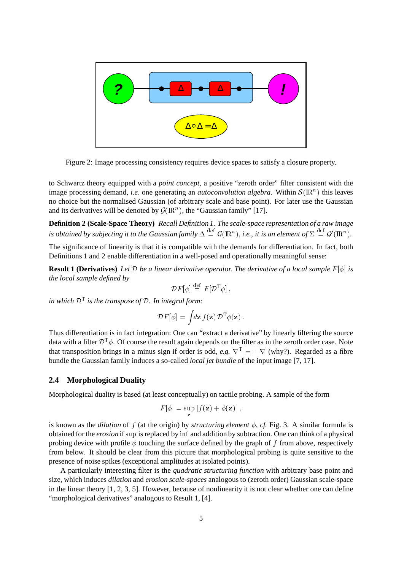

Figure 2: Image processing consistency requires device spaces to satisfy a closure property.

to Schwartz theory equipped with a *point concept*, a positive "zeroth order" filter consistent with the image processing demand, *i.e.* one generating an *autoconvolution algebra*. Within  $S(\mathbb{R}^n)$  this leaves no choice but the normalised Gaussian (of arbitrary scale and base point). For later use the Gaussian and its derivatives will be denoted by  $\mathcal{G}(\mathbb{R}^n)$ , the "Gaussian family" [17].

**Definition 2 (Scale-Space Theory)** *Recall Definition 1. The scale-space representation of a raw image* is obtained by subjecting it to the Gaussian family  $\Delta \equiv \mathcal{G}(\mathbb{R}^n)$ , i.e., it is an element of  $\Sigma \equiv \mathcal{G}'(\mathbb{R}^n)$ .

The significance of linearity is that it is compatible with the demands for differentiation. In fact, both Definitions 1 and 2 enable differentiation in a well-posed and operationally meaningful sense:

**Result 1 (Derivatives)** Let D be a linear derivative operator. The derivative of a local sample  $F[\phi]$  is *the local sample defined by*

$$
\mathcal{D}F[\phi] \stackrel{\text{def}}{=} F[\mathcal{D}^{\mathrm{T}}\phi],
$$

*in which*  $D<sup>T</sup>$  *is the transpose of*  $D$ *. In integral form:* 

$$
\mathcal{D}F[\phi] = \int d\mathbf{z} f(\mathbf{z}) \, \mathcal{D}^{\mathrm{T}} \phi(\mathbf{z}) \, .
$$

Thus differentiation is in fact integration: One can "extract a derivative" by linearly filtering the source data with a filter  $\mathcal{D}^T\phi$ . Of course the result again depends on the filter as in the zeroth order case. Note that transposition brings in a minus sign if order is odd, *e.g.*  $\nabla^T = -\nabla$  (why?). Regarded as a fibre bundle the Gaussian family induces a so-called *local jet bundle* of the input image [7, 17].

## **2.4 Morphological Duality**

Morphological duality is based (at least conceptually) on tactile probing. A sample of the form

$$
F[\phi] = \sup_{\mathbf{z}} [f(\mathbf{z}) + \phi(\mathbf{z})],
$$

is known as the *dilation* of f (at the origin) by *structuring element*  $\phi$ , *cf.* Fig. 3. A similar formula is obtained for the *erosion* if sup is replaced by inf and addition by subtraction. One can think of a physical probing device with profile  $\phi$  touching the surface defined by the graph of f from above, respectively from below. It should be clear from this picture that morphological probing is quite sensitive to the presence of noise spikes (exceptional amplitudes at isolated points).

A particularly interesting filter is the *quadratic structuring function* with arbitrary base point and size, which induces *dilation* and *erosion scale-spaces* analogous to (zeroth order) Gaussian scale-space in the linear theory [1, 2, 3, 5]. However, because of nonlinearity it is not clear whether one can define "morphological derivatives" analogous to Result 1, [4].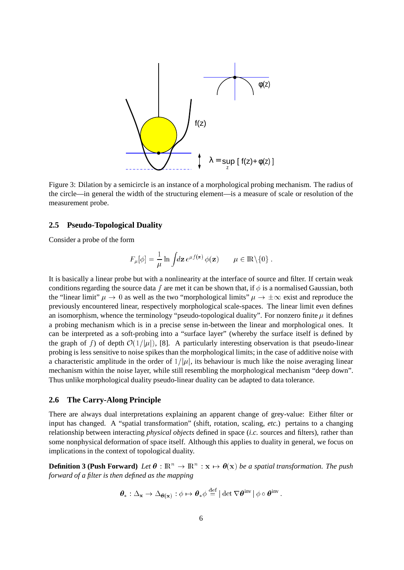

Figure 3: Dilation by a semicircle is an instance of a morphological probing mechanism. The radius of the circle—in general the width of the structuring element—is a measure of scale or resolution of the measurement probe.

## **2.5 Pseudo-Topological Duality**

Consider a probe of the form

$$
F_{\mu}[\phi] = \frac{1}{\mu} \ln \int d\mathbf{z} e^{\mu f(\mathbf{z})} \phi(\mathbf{z}) \qquad \mu \in \mathbb{R} \backslash \{0\} .
$$

It is basically a linear probe but with a nonlinearity at the interface of source and filter. If certain weak conditions regarding the source data f are met it can be shown that, if  $\phi$  is a normalised Gaussian, both the "linear limit"  $\mu \to 0$  as well as the two "morphological limits"  $\mu \to \pm \infty$  exist and reproduce the previously encountered linear, respectively morphological scale-spaces. The linear limit even defines an isomorphism, whence the terminology "pseudo-topological duality". For nonzero finite  $\mu$  it defines a probing mechanism which is in a precise sense in-between the linear and morphological ones. It can be interpreted as a soft-probing into a "surface layer" (whereby the surface itself is defined by the graph of f) of depth  $\mathcal{O}(1/|\mu|)$ , [8]. A particularly interesting observation is that pseudo-linear probing is less sensitive to noise spikes than the morphological limits; in the case of additive noise with a characteristic amplitude in the order of  $1/|\mu|$ , its behaviour is much like the noise averaging linear mechanism within the noise layer, while still resembling the morphological mechanism "deep down". Thus unlike morphological duality pseudo-linear duality can be adapted to data tolerance.

## **2.6 The Carry-Along Principle**

There are always dual interpretations explaining an apparent change of grey-value: Either filter or input has changed. A "spatial transformation" (shift, rotation, scaling, *etc.*) pertains to a changing relationship between interacting *physical objects* defined in space (*i.c.* sources and filters), rather than some nonphysical deformation of space itself. Although this applies to duality in general, we focus on implications in the context of topological duality.

**Definition 3 (Push Forward)** Let  $\theta$  :  $\mathbb{R}^n \to \mathbb{R}^n$  :  $\mathbf{x} \mapsto \theta(\mathbf{x})$  be a spatial transformation. The push *forward of a filter is then defined as the mapping*

$$
\boldsymbol{\theta}_{*}: \Delta_{\mathbf{x}} \to \Delta_{\boldsymbol{\theta}(\mathbf{x})}: \phi \mapsto \boldsymbol{\theta}_{*}\phi \stackrel{\text{def}}{=} |\det \nabla \boldsymbol{\theta}^{\text{inv}}| \phi \circ \boldsymbol{\theta}^{\text{inv}}.
$$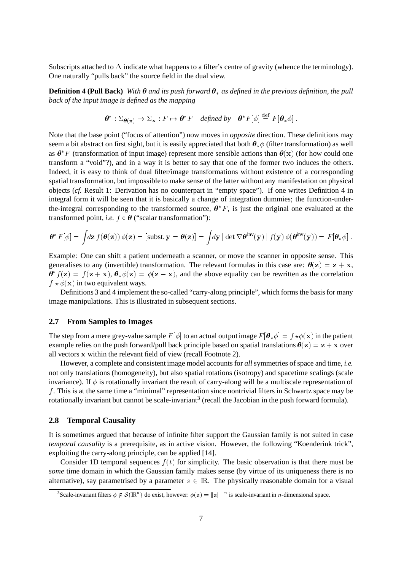Subscripts attached to  $\Delta$  indicate what happens to a filter's centre of gravity (whence the terminology). One naturally "pulls back" the source field in the dual view.

**Definition 4 (Pull Back)** *With*  $\theta$  *and its push forward*  $\theta_*$  *as defined in the previous definition, the pull back of the input image is defined as the mapping*

$$
\boldsymbol{\theta}^* : \Sigma_{\boldsymbol{\theta}(\mathbf{x})} \to \Sigma_{\mathbf{x}} : F \mapsto \boldsymbol{\theta}^* F \quad \text{defined by} \quad \boldsymbol{\theta}^* F[\phi] \stackrel{\text{def}}{=} F[\boldsymbol{\theta}_* \phi].
$$

Note that the base point ("focus of attention") now moves in *opposite* direction. These definitions may seem a bit abstract on first sight, but it is easily appreciated that both  $\theta_*\phi$  (filter transformation) as well as  $\theta^* F$  (transformation of input image) represent more sensible actions than  $\theta(x)$  (for how could one transform a "void"?), and in a way it is better to say that one of the former two induces the others. Indeed, it is easy to think of dual filter/image transformations without existence of a corresponding spatial transformation, but impossible to make sense of the latter without any manifestation on physical objects (*cf.* Result 1: Derivation has no counterpart in "empty space"). If one writes Definition 4 in integral form it will be seen that it is basically a change of integration dummies; the function-underthe-integral corresponding to the transformed source,  $\theta^* F$ , is just the original one evaluated at the transformed point, *i.e.*  $f \circ \theta$  ("scalar transformation"):

$$
\boldsymbol{\theta}^* F[\phi] = \int d\mathbf{z} f(\boldsymbol{\theta}(\mathbf{z})) \phi(\mathbf{z}) = [\text{subst. } \mathbf{y} = \boldsymbol{\theta}(\mathbf{z})] = \int d\mathbf{y} |\det \nabla \boldsymbol{\theta}^{\text{inv}}(\mathbf{y})| f(\mathbf{y}) \phi(\boldsymbol{\theta}^{\text{inv}}(\mathbf{y})) = F[\boldsymbol{\theta}_* \phi].
$$

Example: One can shift a patient underneath a scanner, or move the scanner in opposite sense. This generalises to any (invertible) transformation. The relevant formulas in this case are:  $\theta(z) = z + x$ ,  $\theta^* f(\mathbf{z}) = f(\mathbf{z} + \mathbf{x}), \theta_* \phi(\mathbf{z}) = \phi(\mathbf{z} - \mathbf{x})$ , and the above equality can be rewritten as the correlation  $f \star \phi(\mathbf{x})$  in two equivalent ways.

Definitions 3 and 4 implement the so-called "carry-along principle", which forms the basis for many image manipulations. This is illustrated in subsequent sections.

#### **2.7 From Samples to Images**

The step from a mere grey-value sample  $F[\phi]$  to an actual output image  $F[\theta_*\phi] = f \star \phi(\mathbf{x})$  in the patient example relies on the push forward/pull back principle based on spatial translations  $\theta(z) = z + x$  over all vectors <sup>x</sup> within the relevant field of view (recall Footnote 2).

However, a complete and consistent image model accounts for *all* symmetries of space and time, *i.e.* not only translations (homogeneity), but also spatial rotations (isotropy) and spacetime scalings (scale invariance). If  $\phi$  is rotationally invariant the result of carry-along will be a multiscale representation of f. This is at the same time a "minimal" representation since nontrivial filters in Schwartz space may be rotationally invariant but cannot be scale-invariant<sup>3</sup> (recall the Jacobian in the push forward formula).

#### **2.8 Temporal Causality**

It is sometimes argued that because of infinite filter support the Gaussian family is not suited in case *temporal causality* is a prerequisite, as in active vision. However, the following "Koenderink trick", exploiting the carry-along principle, can be applied [14].

Consider 1D temporal sequences  $f(t)$  for simplicity. The basic observation is that there must be *some* time domain in which the Gaussian family makes sense (by virtue of its uniqueness there is no alternative), say parametrised by a parameter  $s \in \mathbb{R}$ . The physically reasonable domain for a visual

<sup>&</sup>lt;sup>3</sup>Scale-invariant filters  $\phi \notin \mathcal{S}(\mathbb{R}^n)$  do exist, however:  $\phi(z) = ||z||^{-n}$  is scale-invariant in *n*-dimensional space.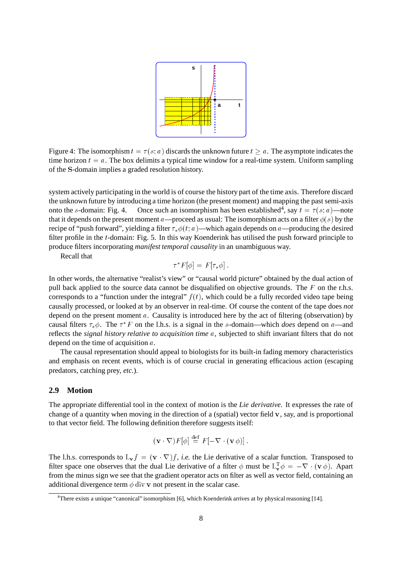

Figure 4: The isomorphism  $t = \tau(s; a)$  discards the unknown future  $t > a$ . The asymptote indicates the time horizon  $t = a$ . The box delimits a typical time window for a real-time system. Uniform sampling of the <sup>S</sup>-domain implies a graded resolution history.

system actively participating in the world is of course the history part of the time axis. Therefore discard the unknown future by introducing a time horizon (the present moment) and mapping the past semi-axis onto the s-domain: Fig. 4. Once such an isomorphism has been established<sup>4</sup>, say  $t = \tau(s; a)$ —note that it depends on the present moment a—proceed as usual: The isomorphism acts on a filter  $\phi(s)$  by the recipe of "push forward", yielding a filter  $\tau_* \phi(t; a)$ —which again depends on a—producing the desired filter profile in the <sup>t</sup>-domain: Fig. 5. In this way Koenderink has utilised the push forward principle to produce filters incorporating *manifest temporal causality* in an unambiguous way.

Recall that

$$
\tau^* F[\phi] = F[\tau_* \phi].
$$

In other words, the alternative "realist's view" or "causal world picture" obtained by the dual action of pull back applied to the source data cannot be disqualified on objective grounds. The  $F$  on the r.h.s. corresponds to a "function under the integral"  $f(t)$ , which could be a fully recorded video tape being causally processed, or looked at by an observer in real-time. Of course the content of the tape does *not* depend on the present moment  $a$ . Causality is introduced here by the act of filtering (observation) by causal filters  $\tau_*\phi$ . The  $\tau^*F$  on the l.h.s. is a signal in the s-domain—which *does* depend on a—and reflects the *signal history relative to acquisition time* <sup>a</sup>, subjected to shift invariant filters that do not depend on the time of acquisition  $a$ .

The causal representation should appeal to biologists for its built-in fading memory characteristics and emphasis on recent events, which is of course crucial in generating efficacious action (escaping predators, catching prey, *etc.*).

## **2.9 Motion**

The appropriate differential tool in the context of motion is the *Lie derivative*. It expresses the rate of change of a quantity when moving in the direction of a (spatial) vector field  $\bf{v}$ , say, and is proportional to that vector field. The following definition therefore suggests itself:

$$
(\mathbf{v}\cdot\nabla)F[\phi]\stackrel{\text{def}}{=} F[-\nabla\cdot(\mathbf{v}\phi)].
$$

The l.h.s. corresponds to  $L_v f = (v \cdot \nabla) f$ , *i.e.* the Lie derivative of a scalar function. Transposed to filter space one observes that the dual Lie derivative of a filter  $\phi$  must be  $L_v^T \phi = -\nabla \cdot (\mathbf{v} \phi)$ . Apart from the minus sign we see that the gradient operator acts on filter as well as vector field, containing an additional divergence term  $\phi$  div v not present in the scalar case.

<sup>4</sup> There exists a unique "canonical" isomorphism [6], which Koenderink arrives at by physical reasoning [14].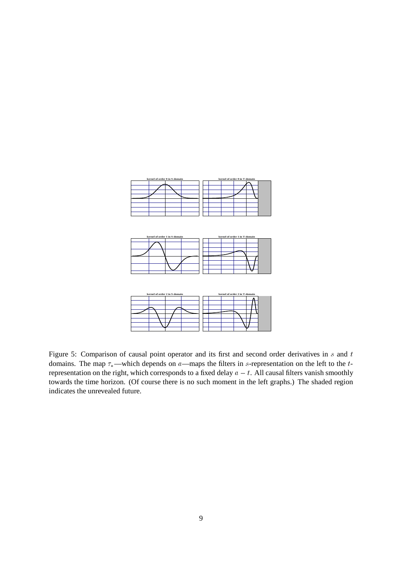

Figure 5: Comparison of causal point operator and its first and second order derivatives in  $s$  and  $t$ domains. The map  $\tau_*$ —which depends on a—maps the filters in s-representation on the left to the trepresentation on the right, which corresponds to a fixed delay  $a - t$ . All causal filters vanish smoothly towards the time horizon. (Of course there is no such moment in the left graphs.) The shaded region indicates the unrevealed future.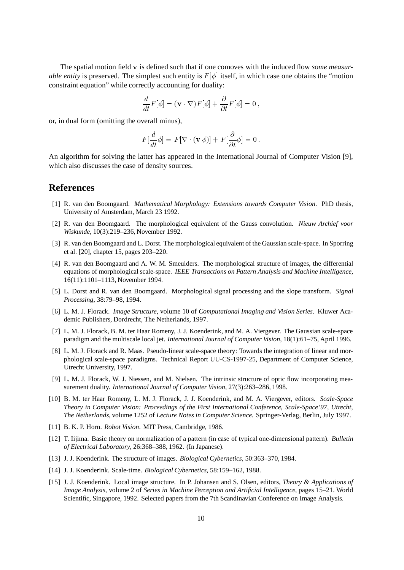The spatial motion field <sup>v</sup> is defined such that if one comoves with the induced flow *some measurable entity* is preserved. The simplest such entity is  $F[\phi]$  itself, in which case one obtains the "motion" constraint equation" while correctly accounting for duality:

$$
\frac{d}{dt}F[\phi] = (\mathbf{v} \cdot \nabla)F[\phi] + \frac{\partial}{\partial t}F[\phi] = 0,
$$

or, in dual form (omitting the overall minus),

$$
F[\frac{d}{dt}\phi] = F[\nabla \cdot (\mathbf{v}\,\phi)] + F[\frac{\partial}{\partial t}\phi] = 0.
$$

An algorithm for solving the latter has appeared in the International Journal of Computer Vision [9], which also discusses the case of density sources.

## **References**

- [1] R. van den Boomgaard. *Mathematical Morphology: Extensions towards Computer Vision*. PhD thesis, University of Amsterdam, March 23 1992.
- [2] R. van den Boomgaard. The morphological equivalent of the Gauss convolution. *Nieuw Archief voor Wiskunde*, 10(3):219–236, November 1992.
- [3] R. van den Boomgaard and L. Dorst. The morphological equivalent of the Gaussian scale-space. In Sporring et al. [20], chapter 15, pages 203–220.
- [4] R. van den Boomgaard and A. W. M. Smeulders. The morphological structure of images, the differential equations of morphological scale-space. *IEEE Transactions on Pattern Analysis and Machine Intelligence*, 16(11):1101–1113, November 1994.
- [5] L. Dorst and R. van den Boomgaard. Morphological signal processing and the slope transform. *Signal Processing*, 38:79–98, 1994.
- [6] L. M. J. Florack. *Image Structure*, volume 10 of *Computational Imaging and Vision Series*. Kluwer Academic Publishers, Dordrecht, The Netherlands, 1997.
- [7] L. M. J. Florack, B. M. ter Haar Romeny, J. J. Koenderink, and M. A. Viergever. The Gaussian scale-space paradigm and the multiscale local jet. *International Journal of Computer Vision*, 18(1):61–75, April 1996.
- [8] L. M. J. Florack and R. Maas. Pseudo-linear scale-space theory: Towards the integration of linear and morphological scale-space paradigms. Technical Report UU-CS-1997-25, Department of Computer Science, Utrecht University, 1997.
- [9] L. M. J. Florack, W. J. Niessen, and M. Nielsen. The intrinsic structure of optic flow incorporating measurement duality. *International Journal of Computer Vision*, 27(3):263–286, 1998.
- [10] B. M. ter Haar Romeny, L. M. J. Florack, J. J. Koenderink, and M. A. Viergever, editors. *Scale-Space Theory in Computer Vision: Proceedings of the First International Conference, Scale-Space'97, Utrecht, The Netherlands*, volume 1252 of *Lecture Notes in Computer Science*. Springer-Verlag, Berlin, July 1997.
- [11] B. K. P. Horn. *Robot Vision*. MIT Press, Cambridge, 1986.
- [12] T. Iijima. Basic theory on normalization of a pattern (in case of typical one-dimensional pattern). *Bulletin of Electrical Laboratory*, 26:368–388, 1962. (In Japanese).
- [13] J. J. Koenderink. The structure of images. *Biological Cybernetics*, 50:363–370, 1984.
- [14] J. J. Koenderink. Scale-time. *Biological Cybernetics*, 58:159–162, 1988.
- [15] J. J. Koenderink. Local image structure. In P. Johansen and S. Olsen, editors, *Theory & Applications of Image Analysis*, volume 2 of *Series in Machine Perception and Artificial Intelligence*, pages 15–21. World Scientific, Singapore, 1992. Selected papers from the 7th Scandinavian Conference on Image Analysis.